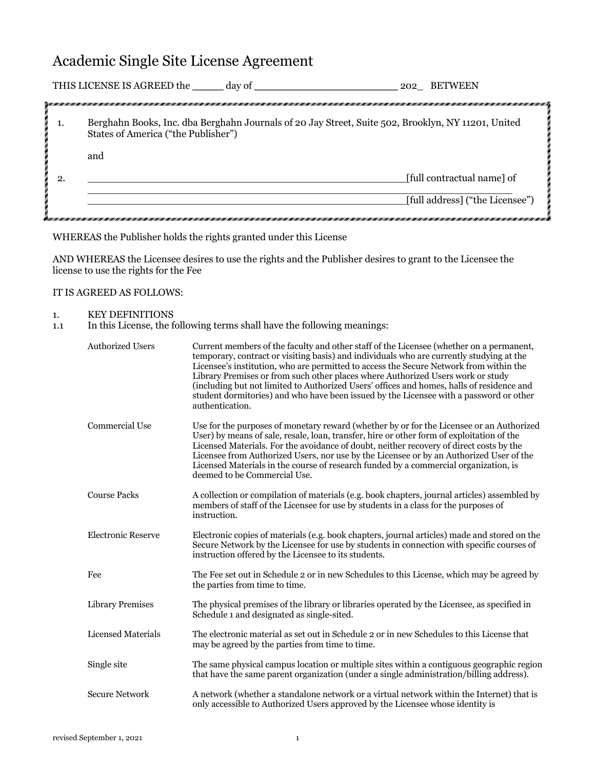# Academic Single Site License Agreement

|    | THIS LICENSE IS AGREED the<br>day of<br>202 BETWEEN                                                                                       |
|----|-------------------------------------------------------------------------------------------------------------------------------------------|
|    |                                                                                                                                           |
| 1. | Berghahn Books, Inc. dba Berghahn Journals of 20 Jay Street, Suite 502, Brooklyn, NY 11201, United<br>States of America ("the Publisher") |
|    | and                                                                                                                                       |
| 2. | [full contractual name] of                                                                                                                |
|    | [full address] ("the Licensee")                                                                                                           |

WHEREAS the Publisher holds the rights granted under this License

AND WHEREAS the Licensee desires to use the rights and the Publisher desires to grant to the Licensee the license to use the rights for the Fee

#### IT IS AGREED AS FOLLOWS:

#### 1. KEY DEFINITIONS

1.1 In this License, the following terms shall have the following meanings:

| <b>Authorized Users</b>   | Current members of the faculty and other staff of the Licensee (whether on a permanent,<br>temporary, contract or visiting basis) and individuals who are currently studying at the<br>Licensee's institution, who are permitted to access the Secure Network from within the<br>Library Premises or from such other places where Authorized Users work or study<br>(including but not limited to Authorized Users' offices and homes, halls of residence and<br>student dormitories) and who have been issued by the Licensee with a password or other<br>authentication. |
|---------------------------|----------------------------------------------------------------------------------------------------------------------------------------------------------------------------------------------------------------------------------------------------------------------------------------------------------------------------------------------------------------------------------------------------------------------------------------------------------------------------------------------------------------------------------------------------------------------------|
| <b>Commercial Use</b>     | Use for the purposes of monetary reward (whether by or for the Licensee or an Authorized<br>User) by means of sale, resale, loan, transfer, hire or other form of exploitation of the<br>Licensed Materials. For the avoidance of doubt, neither recovery of direct costs by the<br>Licensee from Authorized Users, nor use by the Licensee or by an Authorized User of the<br>Licensed Materials in the course of research funded by a commercial organization, is<br>deemed to be Commercial Use.                                                                        |
| <b>Course Packs</b>       | A collection or compilation of materials (e.g. book chapters, journal articles) assembled by<br>members of staff of the Licensee for use by students in a class for the purposes of<br>instruction.                                                                                                                                                                                                                                                                                                                                                                        |
| <b>Electronic Reserve</b> | Electronic copies of materials (e.g. book chapters, journal articles) made and stored on the<br>Secure Network by the Licensee for use by students in connection with specific courses of<br>instruction offered by the Licensee to its students.                                                                                                                                                                                                                                                                                                                          |
| Fee                       | The Fee set out in Schedule 2 or in new Schedules to this License, which may be agreed by<br>the parties from time to time.                                                                                                                                                                                                                                                                                                                                                                                                                                                |
| <b>Library Premises</b>   | The physical premises of the library or libraries operated by the Licensee, as specified in<br>Schedule 1 and designated as single-sited.                                                                                                                                                                                                                                                                                                                                                                                                                                  |
| Licensed Materials        | The electronic material as set out in Schedule 2 or in new Schedules to this License that<br>may be agreed by the parties from time to time.                                                                                                                                                                                                                                                                                                                                                                                                                               |
| Single site               | The same physical campus location or multiple sites within a contiguous geographic region<br>that have the same parent organization (under a single administration/billing address).                                                                                                                                                                                                                                                                                                                                                                                       |
| <b>Secure Network</b>     | A network (whether a standalone network or a virtual network within the Internet) that is<br>only accessible to Authorized Users approved by the Licensee whose identity is                                                                                                                                                                                                                                                                                                                                                                                                |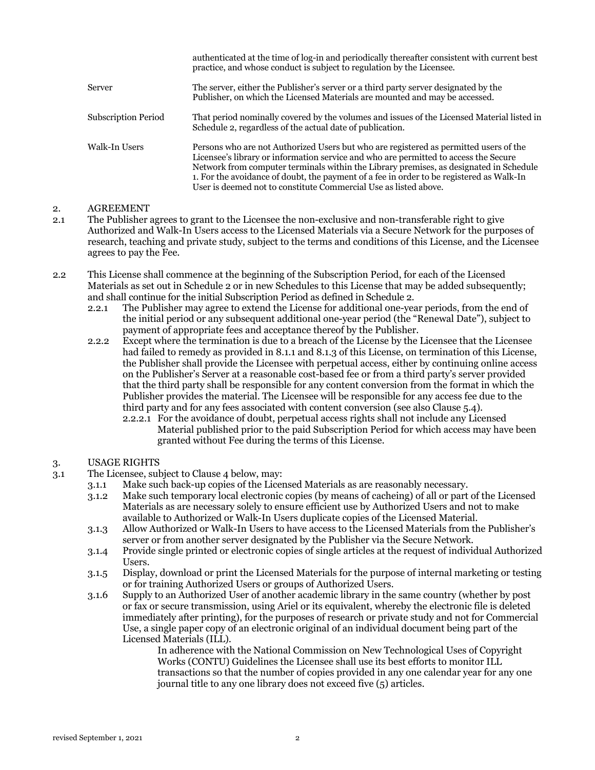|                            | authenticated at the time of log-in and periodically thereafter consistent with current best<br>practice, and whose conduct is subject to regulation by the Licensee.                                                                                                                                                                                                                                                                   |
|----------------------------|-----------------------------------------------------------------------------------------------------------------------------------------------------------------------------------------------------------------------------------------------------------------------------------------------------------------------------------------------------------------------------------------------------------------------------------------|
| Server                     | The server, either the Publisher's server or a third party server designated by the<br>Publisher, on which the Licensed Materials are mounted and may be accessed.                                                                                                                                                                                                                                                                      |
| <b>Subscription Period</b> | That period nominally covered by the volumes and issues of the Licensed Material listed in<br>Schedule 2, regardless of the actual date of publication.                                                                                                                                                                                                                                                                                 |
| Walk-In Users              | Persons who are not Authorized Users but who are registered as permitted users of the<br>Licensee's library or information service and who are permitted to access the Secure<br>Network from computer terminals within the Library premises, as designated in Schedule<br>1. For the avoidance of doubt, the payment of a fee in order to be registered as Walk-In<br>User is deemed not to constitute Commercial Use as listed above. |

## 2. AGREEMENT

- 2.1 The Publisher agrees to grant to the Licensee the non-exclusive and non-transferable right to give Authorized and Walk-In Users access to the Licensed Materials via a Secure Network for the purposes of research, teaching and private study, subject to the terms and conditions of this License, and the Licensee agrees to pay the Fee.
- 2.2 This License shall commence at the beginning of the Subscription Period, for each of the Licensed Materials as set out in Schedule 2 or in new Schedules to this License that may be added subsequently; and shall continue for the initial Subscription Period as defined in Schedule 2.
	- 2.2.1 The Publisher may agree to extend the License for additional one-year periods, from the end of the initial period or any subsequent additional one-year period (the "Renewal Date"), subject to payment of appropriate fees and acceptance thereof by the Publisher.
	- 2.2.2 Except where the termination is due to a breach of the License by the Licensee that the Licensee had failed to remedy as provided in 8.1.1 and 8.1.3 of this License, on termination of this License, the Publisher shall provide the Licensee with perpetual access, either by continuing online access on the Publisher's Server at a reasonable cost-based fee or from a third party's server provided that the third party shall be responsible for any content conversion from the format in which the Publisher provides the material. The Licensee will be responsible for any access fee due to the third party and for any fees associated with content conversion (see also Clause 5.4).
		- 2.2.2.1 For the avoidance of doubt, perpetual access rights shall not include any Licensed Material published prior to the paid Subscription Period for which access may have been granted without Fee during the terms of this License.

## 3. USAGE RIGHTS

- 3.1 The Licensee, subject to Clause 4 below, may:
	- 3.1.1 Make such back-up copies of the Licensed Materials as are reasonably necessary.
	- 3.1.2 Make such temporary local electronic copies (by means of cacheing) of all or part of the Licensed Materials as are necessary solely to ensure efficient use by Authorized Users and not to make available to Authorized or Walk-In Users duplicate copies of the Licensed Material.
	- 3.1.3 Allow Authorized or Walk-In Users to have access to the Licensed Materials from the Publisher's server or from another server designated by the Publisher via the Secure Network.
	- 3.1.4 Provide single printed or electronic copies of single articles at the request of individual Authorized Users.
	- 3.1.5 Display, download or print the Licensed Materials for the purpose of internal marketing or testing or for training Authorized Users or groups of Authorized Users.
	- 3.1.6 Supply to an Authorized User of another academic library in the same country (whether by post or fax or secure transmission, using Ariel or its equivalent, whereby the electronic file is deleted immediately after printing), for the purposes of research or private study and not for Commercial Use, a single paper copy of an electronic original of an individual document being part of the Licensed Materials (ILL).

In adherence with the National Commission on New Technological Uses of Copyright Works (CONTU) Guidelines the Licensee shall use its best efforts to monitor ILL transactions so that the number of copies provided in any one calendar year for any one journal title to any one library does not exceed five (5) articles.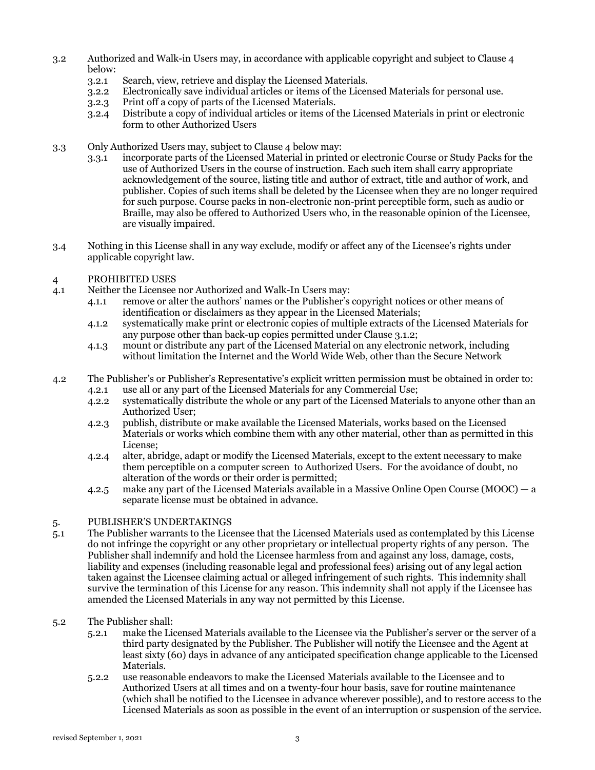- 3.2 Authorized and Walk-in Users may, in accordance with applicable copyright and subject to Clause 4 below:
	- 3.2.1 Search, view, retrieve and display the Licensed Materials.
	- 3.2.2 Electronically save individual articles or items of the Licensed Materials for personal use.
	- 3.2.3 Print off a copy of parts of the Licensed Materials.
	- 3.2.4 Distribute a copy of individual articles or items of the Licensed Materials in print or electronic form to other Authorized Users
- 3.3 Only Authorized Users may, subject to Clause 4 below may:
	- 3.3.1 incorporate parts of the Licensed Material in printed or electronic Course or Study Packs for the use of Authorized Users in the course of instruction. Each such item shall carry appropriate acknowledgement of the source, listing title and author of extract, title and author of work, and publisher. Copies of such items shall be deleted by the Licensee when they are no longer required for such purpose. Course packs in non-electronic non-print perceptible form, such as audio or Braille, may also be offered to Authorized Users who, in the reasonable opinion of the Licensee, are visually impaired.
- 3.4 Nothing in this License shall in any way exclude, modify or affect any of the Licensee's rights under applicable copyright law.

## 4 PROHIBITED USES

- 4.1 Neither the Licensee nor Authorized and Walk-In Users may:
	- 4.1.1 remove or alter the authors' names or the Publisher's copyright notices or other means of identification or disclaimers as they appear in the Licensed Materials;
	- 4.1.2 systematically make print or electronic copies of multiple extracts of the Licensed Materials for any purpose other than back-up copies permitted under Clause 3.1.2;
	- 4.1.3 mount or distribute any part of the Licensed Material on any electronic network, including without limitation the Internet and the World Wide Web, other than the Secure Network
- 4.2 The Publisher's or Publisher's Representative's explicit written permission must be obtained in order to: 4.2.1 use all or any part of the Licensed Materials for any Commercial Use;
	- 4.2.2 systematically distribute the whole or any part of the Licensed Materials to anyone other than an Authorized User;
	- 4.2.3 publish, distribute or make available the Licensed Materials, works based on the Licensed Materials or works which combine them with any other material, other than as permitted in this License;
	- 4.2.4 alter, abridge, adapt or modify the Licensed Materials, except to the extent necessary to make them perceptible on a computer screen to Authorized Users. For the avoidance of doubt, no alteration of the words or their order is permitted;
	- 4.2.5 make any part of the Licensed Materials available in a Massive Online Open Course (MOOC) a separate license must be obtained in advance.

#### 5. PUBLISHER'S UNDERTAKINGS

- 5.1 The Publisher warrants to the Licensee that the Licensed Materials used as contemplated by this License do not infringe the copyright or any other proprietary or intellectual property rights of any person. The Publisher shall indemnify and hold the Licensee harmless from and against any loss, damage, costs, liability and expenses (including reasonable legal and professional fees) arising out of any legal action taken against the Licensee claiming actual or alleged infringement of such rights. This indemnity shall survive the termination of this License for any reason. This indemnity shall not apply if the Licensee has amended the Licensed Materials in any way not permitted by this License.
- 5.2 The Publisher shall:
	- 5.2.1 make the Licensed Materials available to the Licensee via the Publisher's server or the server of a third party designated by the Publisher. The Publisher will notify the Licensee and the Agent at least sixty (60) days in advance of any anticipated specification change applicable to the Licensed Materials.
	- 5.2.2 use reasonable endeavors to make the Licensed Materials available to the Licensee and to Authorized Users at all times and on a twenty-four hour basis, save for routine maintenance (which shall be notified to the Licensee in advance wherever possible), and to restore access to the Licensed Materials as soon as possible in the event of an interruption or suspension of the service.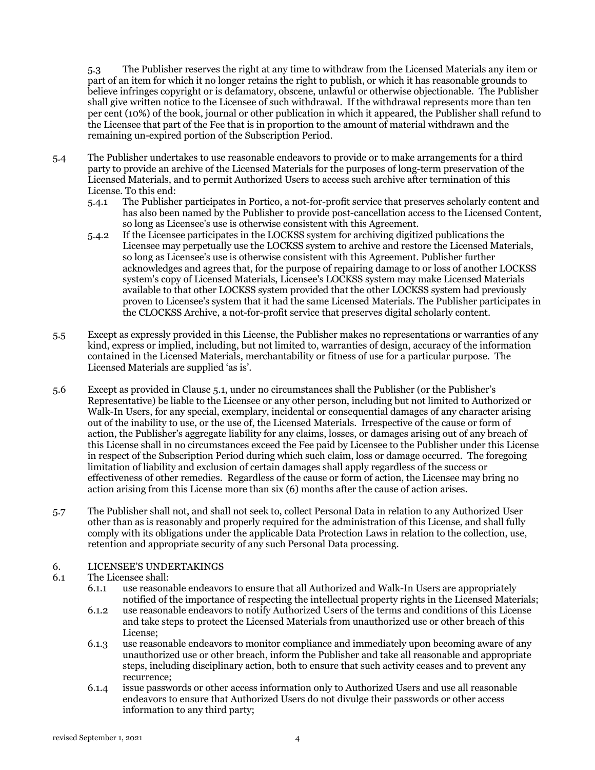5.3 The Publisher reserves the right at any time to withdraw from the Licensed Materials any item or part of an item for which it no longer retains the right to publish, or which it has reasonable grounds to believe infringes copyright or is defamatory, obscene, unlawful or otherwise objectionable. The Publisher shall give written notice to the Licensee of such withdrawal. If the withdrawal represents more than ten per cent (10%) of the book, journal or other publication in which it appeared, the Publisher shall refund to the Licensee that part of the Fee that is in proportion to the amount of material withdrawn and the remaining un-expired portion of the Subscription Period.

- 5.4 The Publisher undertakes to use reasonable endeavors to provide or to make arrangements for a third party to provide an archive of the Licensed Materials for the purposes of long-term preservation of the Licensed Materials, and to permit Authorized Users to access such archive after termination of this License. To this end:
	- 5.4.1 The Publisher participates in Portico, a not-for-profit service that preserves scholarly content and has also been named by the Publisher to provide post-cancellation access to the Licensed Content, so long as Licensee's use is otherwise consistent with this Agreement.
	- 5.4.2 If the Licensee participates in the LOCKSS system for archiving digitized publications the Licensee may perpetually use the LOCKSS system to archive and restore the Licensed Materials, so long as Licensee's use is otherwise consistent with this Agreement. Publisher further acknowledges and agrees that, for the purpose of repairing damage to or loss of another LOCKSS system's copy of Licensed Materials, Licensee's LOCKSS system may make Licensed Materials available to that other LOCKSS system provided that the other LOCKSS system had previously proven to Licensee's system that it had the same Licensed Materials. The Publisher participates in the CLOCKSS Archive, a not-for-profit service that preserves digital scholarly content.
- 5.5 Except as expressly provided in this License, the Publisher makes no representations or warranties of any kind, express or implied, including, but not limited to, warranties of design, accuracy of the information contained in the Licensed Materials, merchantability or fitness of use for a particular purpose. The Licensed Materials are supplied 'as is'.
- 5.6 Except as provided in Clause 5.1, under no circumstances shall the Publisher (or the Publisher's Representative) be liable to the Licensee or any other person, including but not limited to Authorized or Walk-In Users, for any special, exemplary, incidental or consequential damages of any character arising out of the inability to use, or the use of, the Licensed Materials. Irrespective of the cause or form of action, the Publisher's aggregate liability for any claims, losses, or damages arising out of any breach of this License shall in no circumstances exceed the Fee paid by Licensee to the Publisher under this License in respect of the Subscription Period during which such claim, loss or damage occurred. The foregoing limitation of liability and exclusion of certain damages shall apply regardless of the success or effectiveness of other remedies. Regardless of the cause or form of action, the Licensee may bring no action arising from this License more than six (6) months after the cause of action arises.
- 5.7 The Publisher shall not, and shall not seek to, collect Personal Data in relation to any Authorized User other than as is reasonably and properly required for the administration of this License, and shall fully comply with its obligations under the applicable Data Protection Laws in relation to the collection, use, retention and appropriate security of any such Personal Data processing.

#### 6. LICENSEE'S UNDERTAKINGS

## 6.1 The Licensee shall:

- 6.1.1 use reasonable endeavors to ensure that all Authorized and Walk-In Users are appropriately notified of the importance of respecting the intellectual property rights in the Licensed Materials;
- 6.1.2 use reasonable endeavors to notify Authorized Users of the terms and conditions of this License and take steps to protect the Licensed Materials from unauthorized use or other breach of this License;
- 6.1.3 use reasonable endeavors to monitor compliance and immediately upon becoming aware of any unauthorized use or other breach, inform the Publisher and take all reasonable and appropriate steps, including disciplinary action, both to ensure that such activity ceases and to prevent any recurrence;
- 6.1.4 issue passwords or other access information only to Authorized Users and use all reasonable endeavors to ensure that Authorized Users do not divulge their passwords or other access information to any third party;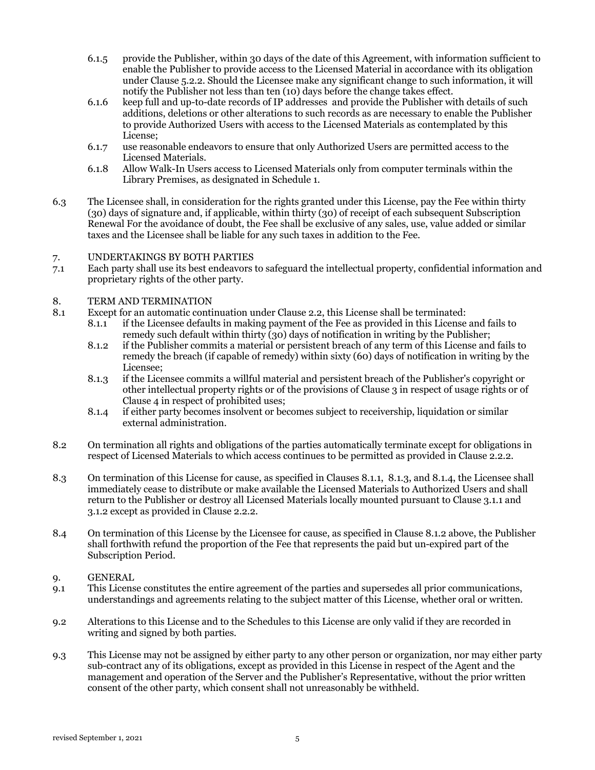- 6.1.5 provide the Publisher, within 30 days of the date of this Agreement, with information sufficient to enable the Publisher to provide access to the Licensed Material in accordance with its obligation under Clause 5.2.2. Should the Licensee make any significant change to such information, it will notify the Publisher not less than ten (10) days before the change takes effect.
- 6.1.6 keep full and up-to-date records of IP addresses and provide the Publisher with details of such additions, deletions or other alterations to such records as are necessary to enable the Publisher to provide Authorized Users with access to the Licensed Materials as contemplated by this License;
- 6.1.7 use reasonable endeavors to ensure that only Authorized Users are permitted access to the Licensed Materials.
- 6.1.8 Allow Walk-In Users access to Licensed Materials only from computer terminals within the Library Premises, as designated in Schedule 1.
- 6.3 The Licensee shall, in consideration for the rights granted under this License, pay the Fee within thirty (30) days of signature and, if applicable, within thirty (30) of receipt of each subsequent Subscription Renewal For the avoidance of doubt, the Fee shall be exclusive of any sales, use, value added or similar taxes and the Licensee shall be liable for any such taxes in addition to the Fee.

## 7. UNDERTAKINGS BY BOTH PARTIES

7.1 Each party shall use its best endeavors to safeguard the intellectual property, confidential information and proprietary rights of the other party.

## 8. TERM AND TERMINATION

- 8.1 Except for an automatic continuation under Clause 2.2, this License shall be terminated:
	- 8.1.1 if the Licensee defaults in making payment of the Fee as provided in this License and fails to remedy such default within thirty (30) days of notification in writing by the Publisher;
	- 8.1.2 if the Publisher commits a material or persistent breach of any term of this License and fails to remedy the breach (if capable of remedy) within sixty (60) days of notification in writing by the Licensee;
	- 8.1.3 if the Licensee commits a willful material and persistent breach of the Publisher's copyright or other intellectual property rights or of the provisions of Clause 3 in respect of usage rights or of Clause 4 in respect of prohibited uses;
	- 8.1.4 if either party becomes insolvent or becomes subject to receivership, liquidation or similar external administration.
- 8.2 On termination all rights and obligations of the parties automatically terminate except for obligations in respect of Licensed Materials to which access continues to be permitted as provided in Clause 2.2.2.
- 8.3 On termination of this License for cause, as specified in Clauses 8.1.1, 8.1.3, and 8.1.4, the Licensee shall immediately cease to distribute or make available the Licensed Materials to Authorized Users and shall return to the Publisher or destroy all Licensed Materials locally mounted pursuant to Clause 3.1.1 and 3.1.2 except as provided in Clause 2.2.2.
- 8.4 On termination of this License by the Licensee for cause, as specified in Clause 8.1.2 above, the Publisher shall forthwith refund the proportion of the Fee that represents the paid but un-expired part of the Subscription Period.

#### 9. GENERAL

- 9.1 This License constitutes the entire agreement of the parties and supersedes all prior communications, understandings and agreements relating to the subject matter of this License, whether oral or written.
- 9.2 Alterations to this License and to the Schedules to this License are only valid if they are recorded in writing and signed by both parties.
- 9.3 This License may not be assigned by either party to any other person or organization, nor may either party sub-contract any of its obligations, except as provided in this License in respect of the Agent and the management and operation of the Server and the Publisher's Representative, without the prior written consent of the other party, which consent shall not unreasonably be withheld.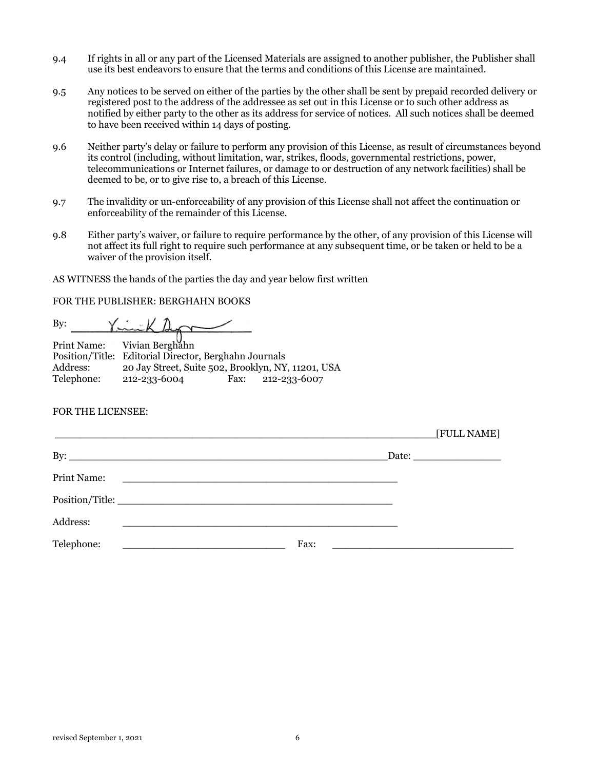- 9.4 If rights in all or any part of the Licensed Materials are assigned to another publisher, the Publisher shall use its best endeavors to ensure that the terms and conditions of this License are maintained.
- 9.5 Any notices to be served on either of the parties by the other shall be sent by prepaid recorded delivery or registered post to the address of the addressee as set out in this License or to such other address as notified by either party to the other as its address for service of notices. All such notices shall be deemed to have been received within 14 days of posting.
- 9.6 Neither party's delay or failure to perform any provision of this License, as result of circumstances beyond its control (including, without limitation, war, strikes, floods, governmental restrictions, power, telecommunications or Internet failures, or damage to or destruction of any network facilities) shall be deemed to be, or to give rise to, a breach of this License.
- 9.7 The invalidity or un-enforceability of any provision of this License shall not affect the continuation or enforceability of the remainder of this License.
- 9.8 Either party's waiver, or failure to require performance by the other, of any provision of this License will not affect its full right to require such performance at any subsequent time, or be taken or held to be a waiver of the provision itself.

AS WITNESS the hands of the parties the day and year below first written

FOR THE PUBLISHER: BERGHAHN BOOKS

 $Y = K \triangle$ By:

Print Name: Vivian Berghahn Position/Title: Editorial Director, Berghahn Journals Address: 20 Jay Street, Suite 502, Brooklyn, NY, 11201, USA Telephone: 212-233-6004 Fax: 212-233-6007

#### FOR THE LICENSEE:

|             |                                                                                 |      |  | [FULL NAME]                                                         |
|-------------|---------------------------------------------------------------------------------|------|--|---------------------------------------------------------------------|
|             | By: $\overline{\phantom{a}}$                                                    |      |  |                                                                     |
| Print Name: |                                                                                 |      |  |                                                                     |
|             |                                                                                 |      |  |                                                                     |
| Address:    | <u> 1990 - Jan Barbara (j. 1900)</u>                                            |      |  |                                                                     |
| Telephone:  | the contract of the contract of the contract of the contract of the contract of | Fax: |  | <u> 1989 - Johann Harrison, margaret eta politikaria (h. 1989).</u> |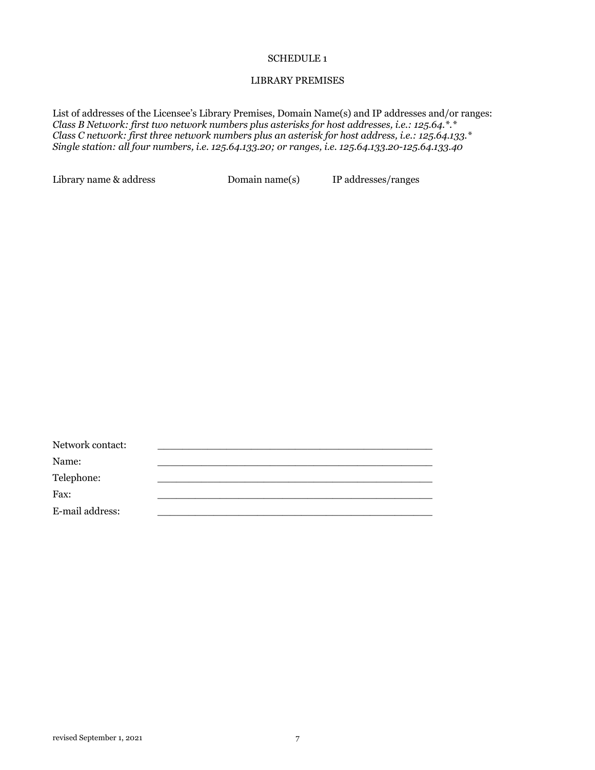#### SCHEDULE 1

## LIBRARY PREMISES

List of addresses of the Licensee's Library Premises, Domain Name(s) and IP addresses and/or ranges: *Class B Network: first two network numbers plus asterisks for host addresses, i.e.: 125.64.\*.\* Class C network: first three network numbers plus an asterisk for host address, i.e.: 125.64.133.\* Single station: all four numbers, i.e. 125.64.133.20; or ranges, i.e. 125.64.133.20-125.64.133.40*

Library name & address Domain name(s) IP addresses/ranges

| Network contact: |  |
|------------------|--|
| Name:            |  |
| Telephone:       |  |
| Fax:             |  |
| E-mail address:  |  |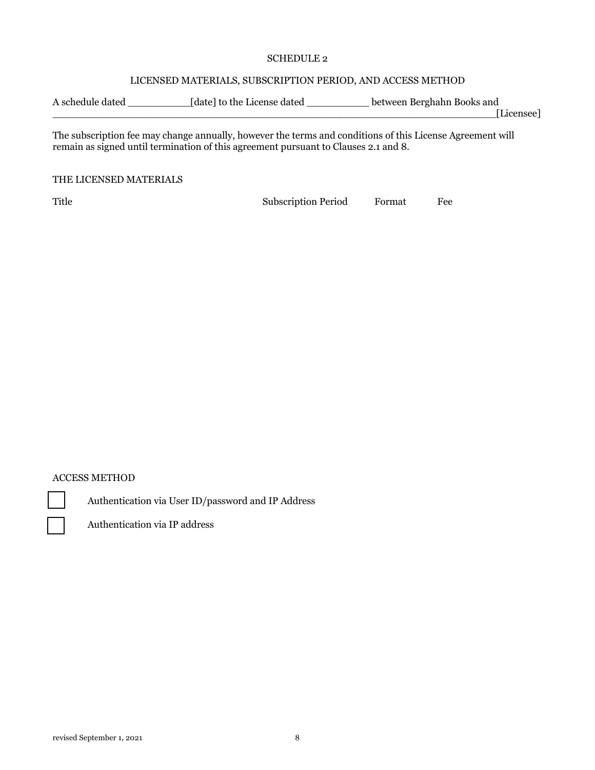#### SCHEDULE 2

## LICENSED MATERIALS, SUBSCRIPTION PERIOD, AND ACCESS METHOD

| A schedule dated | [date] to the License dated | between Berghahn Books and |
|------------------|-----------------------------|----------------------------|
|                  |                             | [Licensee]                 |

The subscription fee may change annually, however the terms and conditions of this License Agreement will remain as signed until termination of this agreement pursuant to Clauses 2.1 and 8.

#### THE LICENSED MATERIALS

Title Subscription Period Format Fee

## ACCESS METHOD

Authentication via User ID/password and IP Address



Authentication via IP address